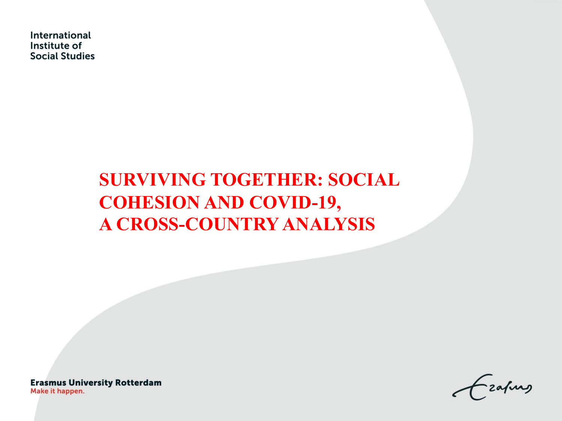International Institute of **Social Studies** 

# **SURVIVING TOGETHER: SOCIAL COHESION AND COVID-19, A CROSS-COUNTRY ANALYSIS**

**Erasmus University Rotterdam** Make it happen.

zafung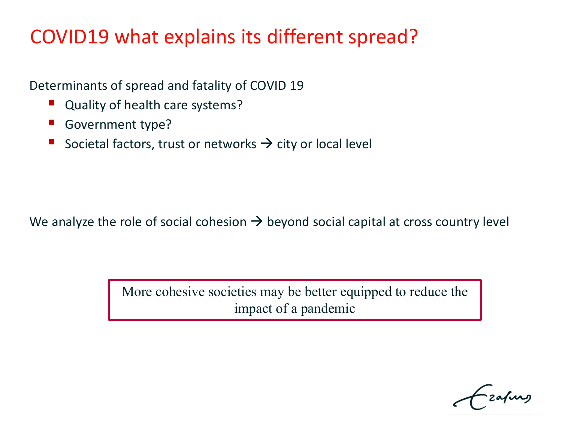# COVID19 what explains its different spread?

Determinants of spread and fatality of COVID 19

- Quality of health care systems?
- Government type?
- Societal factors, trust or networks  $\rightarrow$  city or local level

We analyze the role of social cohesion  $\rightarrow$  beyond social capital at cross country level

More cohesive societies may be better equipped to reduce the impact of a pandemic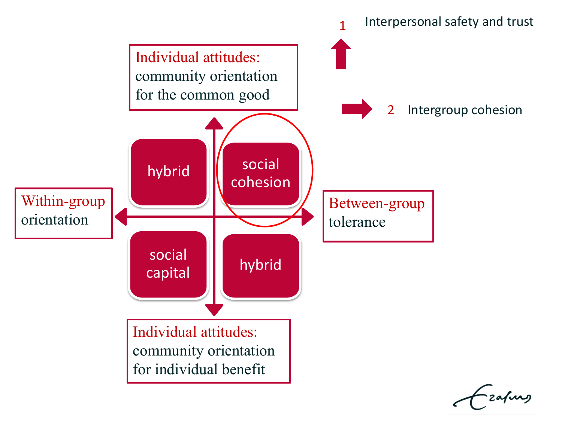

zafurg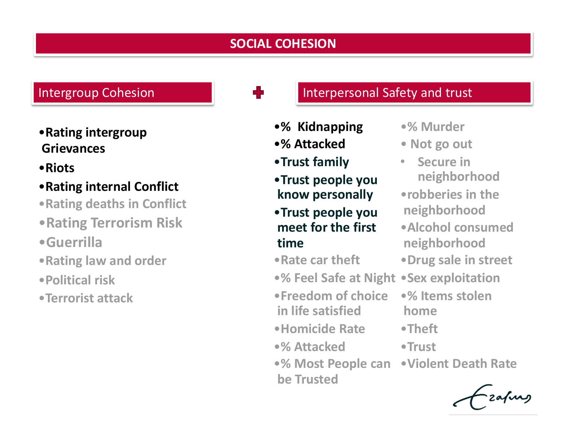## **SOCIAL COHESION**

## •**Rating intergroup Grievances**

### •**Riots**

## •**Rating internal Conflict**

•**Rating deaths in Conflict** 

- •**Rating Terrorism Risk**
- •**Guerrilla**
- •**Rating law and order**
- •**Political risk**
- •**Terrorist attack**

- •**% Kidnapping**
- •**% Attacked**
- •**Trust family**
- •**Trust people you know personally**
- •**Trust people you meet for the first time**
- •**Rate car theft**
- •**% Feel Safe at Night** •**Sex exploitation**
- •**Freedom of choice in life satisfied**
- •**Homicide Rate**
- •**% Attacked**
- •**% Most People can**  •**Violent Death Rate be Trusted**
	-

## Intergroup Cohesion **Interpersonal Safety and trust**

- •**% Murder**
- **Not go out**
- **Secure in neighborhood** •**robberies in the neighborhood** •**Alcohol consumed neighborhood**
- •**Drug sale in street**
- - •**% Items stolen home**
- •**Theft**
- •**Trust**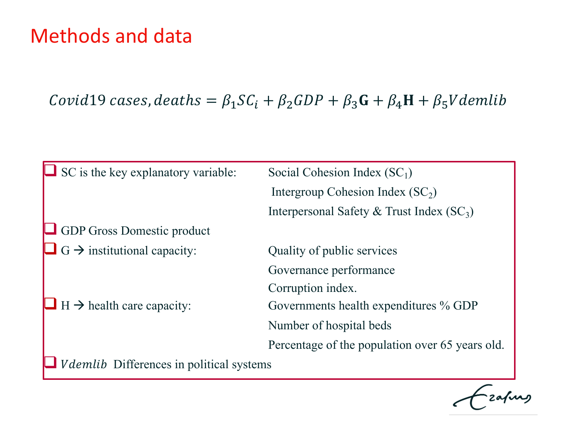# Methods and data

Covid19 cases, deaths =  $\beta_1 SC_i + \beta_2 GDP + \beta_3 G + \beta_4 H + \beta_5 V$ demlib

| $\Box$ SC is the key explanatory variable:      | Social Cohesion Index $(SC_1)$                  |  |
|-------------------------------------------------|-------------------------------------------------|--|
|                                                 | Intergroup Cohesion Index $(SC_2)$              |  |
|                                                 | Interpersonal Safety & Trust Index $(SC_3)$     |  |
| <b>SEP Gross Domestic product</b>               |                                                 |  |
| $\Box$ G $\rightarrow$ institutional capacity:  | Quality of public services                      |  |
|                                                 | Governance performance                          |  |
|                                                 | Corruption index.                               |  |
| $\Box$ H $\rightarrow$ health care capacity:    | Governments health expenditures % GDP           |  |
|                                                 | Number of hospital beds                         |  |
|                                                 | Percentage of the population over 65 years old. |  |
| <i>Vdemlib</i> Differences in political systems |                                                 |  |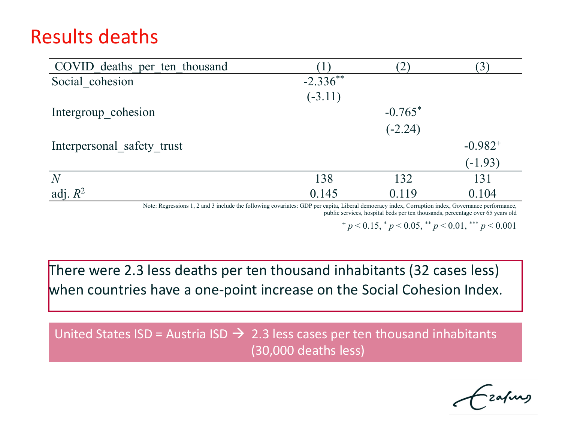# Results deaths

| COVID deaths per ten thousand |            |           | $\left(3\right)$ |
|-------------------------------|------------|-----------|------------------|
| Social cohesion               | $-2.336**$ |           |                  |
|                               | $(-3.11)$  |           |                  |
| Intergroup cohesion           |            | $-0.765*$ |                  |
|                               |            | $(-2.24)$ |                  |
| Interpersonal safety trust    |            |           | $-0.982^{+}$     |
|                               |            |           | $(-1.93)$        |
| N                             | 138        | 132       | 131              |
| adj. $R^2$                    | 0.145      | 0.119     | 0.104            |

Note: Regressions 1, 2 and 3 include the following covariates: GDP per capita, Liberal democracy index, Corruption index, Governance performance,

public services, hospital beds per ten thousands, percentage over 65 years old

 $^{+}p$  < 0.15,  $^{*}p$  < 0.05,  $^{**}p$  < 0.01,  $^{***}p$  < 0.001

There were 2.3 less deaths per ten thousand inhabitants (32 cases less) when countries have a one-point increase on the Social Cohesion Index.

United States ISD = Austria ISD  $\rightarrow$  2.3 less cases per ten thousand inhabitants (30,000 deaths less)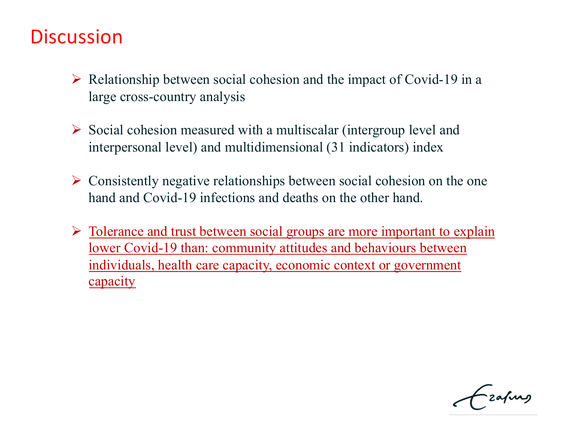# **Discussion**

- $\triangleright$  Relationship between social cohesion and the impact of Covid-19 in a large cross-country analysis
- $\triangleright$  Social cohesion measured with a multiscalar (intergroup level and interpersonal level) and multidimensional (31 indicators) index
- $\triangleright$  Consistently negative relationships between social cohesion on the one hand and Covid-19 infections and deaths on the other hand.
- $\triangleright$  Tolerance and trust between social groups are more important to explain lower Covid-19 than: community attitudes and behaviours between individuals, health care capacity, economic context or government capacity